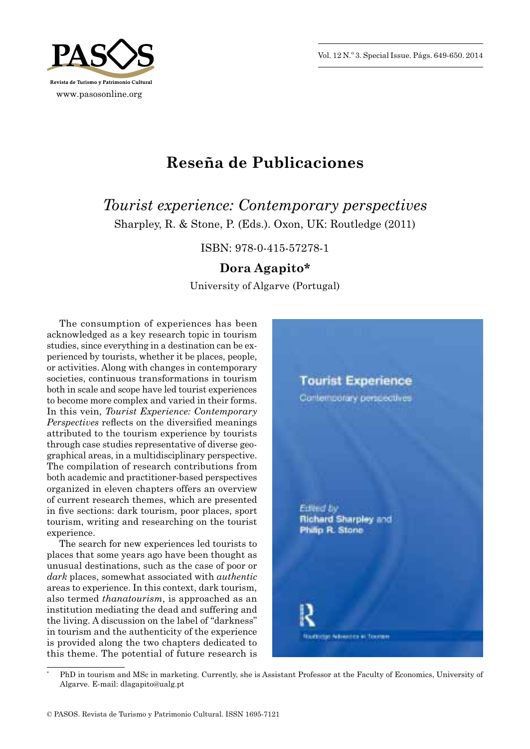Vol. 12 N.º 3. Special Issue. Págs. 649-650. 2014



## **Reseña de Publicaciones**

*Tourist experience: Contemporary perspectives* Sharpley, R. & Stone, P. (Eds.). Oxon, UK: Routledge (2011)

ISBN: 978 -0 -415 -57278 -1

## **Dora Agapito\***

University of Algarve (Portugal)

The consumption of experiences has been acknowledged as a key research topic in tourism studies, since everything in a destination can be experienced by tourists, whether it be places, people, or activities. Along with changes in contemporary societies, continuous transformations in tourism both in scale and scope have led tourist experiences to become more complex and varied in their forms. In this vein, *Tourist Experience: Contemporary Perspectives* reflects on the diversified meanings attributed to the tourism experience by tourists through case studies representative of diverse geographical areas, in a multidisciplinary perspective. The compilation of research contributions from both academic and practitioner -based perspectives organized in eleven chapters offers an overview of current research themes, which are presented in five sections: dark tourism, poor places, sport tourism, writing and researching on the tourist experience.

The search for new experiences led tourists to places that some years ago have been thought as unusual destinations, such as the case of poor or *dark* places, somewhat associated with *authentic* areas to experience. In this context, dark tourism, also termed *thanatourism*, is approached as an institution mediating the dead and suffering and the living. A discussion on the label of "darkness" in tourism and the authenticity of the experience is provided along the two chapters dedicated to this theme. The potential of future research is



PhD in tourism and MSc in marketing. Currently, she is Assistant Professor at the Faculty of Economics, University of Algarve. E -mail: dlagapito@ualg.pt